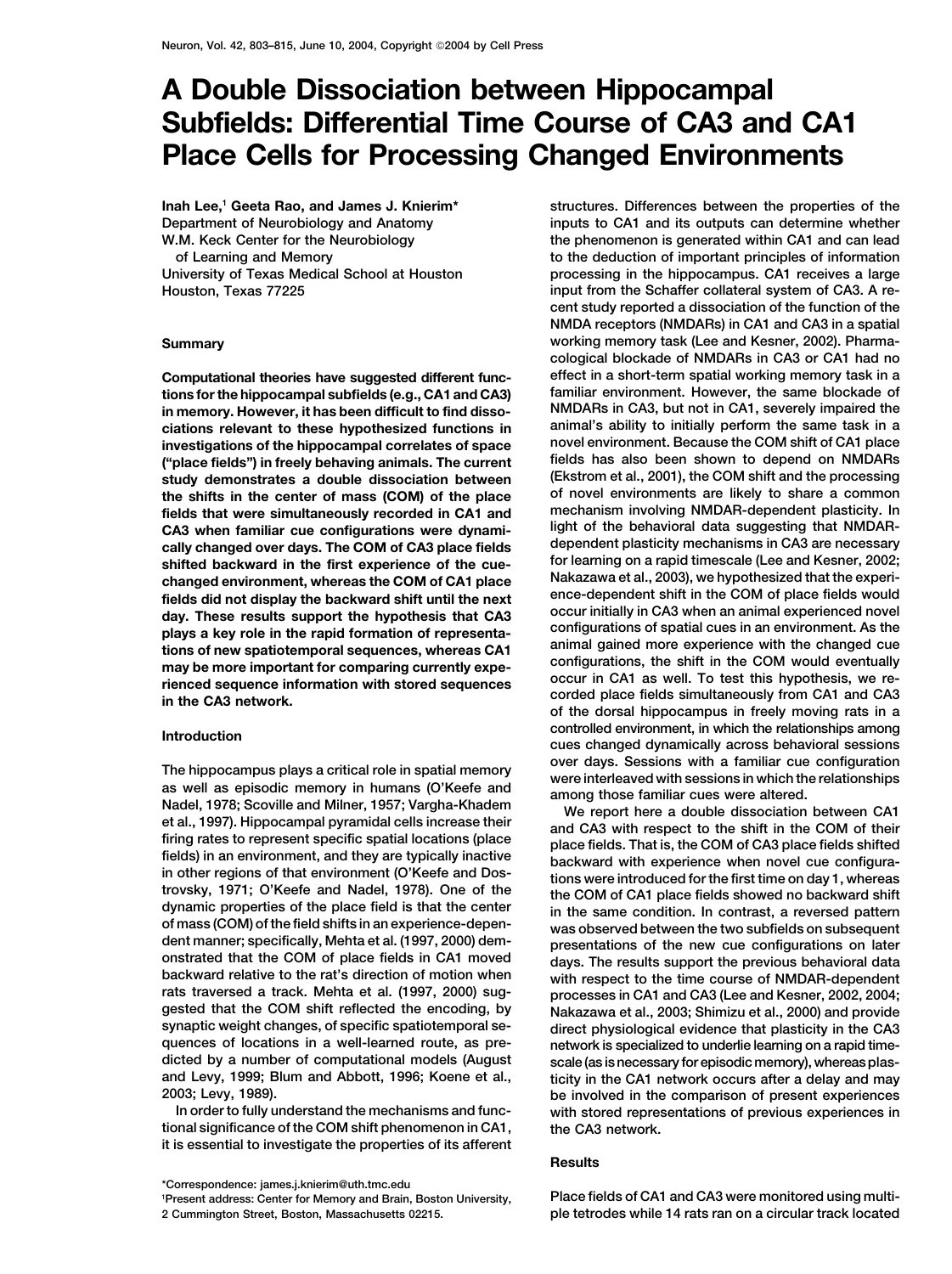# **A Double Dissociation between Hippocampal Subfields: Differential Time Course of CA3 and CA1 Place Cells for Processing Changed Environments**

**Inah Lee,1 Geeta Rao, and James J. Knierim\* Department of Neurobiology and Anatomy W.M. Keck Center for the Neurobiology of Learning and Memory University of Texas Medical School at Houston**

**familiar environment. However, the same blockade of tions for the hippocampal subfields (e.g., CA1 and CA3)**

The hippocampus plays a critical role in spatial memory<br>as well as episodic memory in humans (O'Keefe and<br>Madel, 1978; Scoville and Milner, 1957; Vargha-Khadem<br>and mong those familiar cues were altered.<br>Firing rates to rep onstrated that the COM of place fields in CA1 moved<br>backward relative to the rat's direction of motion when with respect to the time course of NMDAR-dependent<br>rats traversed a track. Mehta et al. (1997, 2000) sug-<br>processe **rats traversed a track. Mehta et al. (1997, 2000) sug- processes in CA1 and CA3 (Lee and Kesner, 2002, 2004; gested that the COM shift reflected the encoding, by Nakazawa et al., 2003; Shimizu et al., 2000) and provide synaptic weight changes, of specific spatiotemporal se- direct physiological evidence that plasticity in the CA3 quences of locations in a well-learned route, as pre- network is specialized to underlie learning on a rapid timeand Levy, 1999; Blum and Abbott, 1996; Koene et al., ticity in the CA1 network occurs after a delay and may**

**tional significance of the COM shift phenomenon in CA1, the CA3 network. it is essential to investigate the properties of its afferent**

**structures. Differences between the properties of the inputs to CA1 and its outputs can determine whether the phenomenon is generated within CA1 and can lead to the deduction of important principles of information processing in the hippocampus. CA1 receives a large Houston, Texas 77225 input from the Schaffer collateral system of CA3. A recent study reported a dissociation of the function of the NMDA receptors (NMDARs) in CA1 and CA3 in a spatial Summary working memory task (Lee and Kesner, 2002). Pharmacological blockade of NMDARs in CA3 or CA1 had no Computational theories have suggested different func- effect in a short-term spatial working memory task in a in memory. However, it has been difficult to find disso- NMDARs in CA3, but not in CA1, severely impaired the ciations relevant to these hypothesized functions in animal's ability to initially perform the same task in a investigations of the hippocampal correlates of space novel environment. Because the COM shift of CA1 place ("place fields") in freely behaving animals. The current fields has also been shown to depend on NMDARs study demonstrates a double dissociation between (Ekstrom et al., 2001), the COM shift and the processing the shifts in the center of mass (COM) of the place of novel environments are likely to share a common** fields that were simultaneously recorded in CA1 and mechanism involving NMDAR-dependent plasticity. In<br>CA3 when familiar cue configurations were dynami-<br>light of the behavioral data suggesting that NMDAR-**CA3 when familiar cue configurations were dynami- light of the behavioral data suggesting that NMDAR**cally changed over days. The COM of CA3 place fields<br>shifted backward in the first experience of the cue-<br>changed environment, whereas the COM of CA1 place<br>fields did not display the backward shift until the next<br>fields di tions of new spatiotemporal sequences, whereas CA1 animal gained more experience with the changed cue<br>
may be more important for comparing currently expe-<br>
rienced sequence information with stored sequences occur in CA1 as **occur in CA1 as well. To test this hypothesis, we re- rienced sequence information with stored sequences corded place fields simultaneously from CA1 and CA3 in the CA3 network. of the dorsal hippocampus in freely moving rats in a controlled environment, in which the relationships among Introduction cues changed dynamically across behavioral sessions**

scale (as is necessary for episodic memory), whereas plas-**2003; Levy, 1989). be involved in the comparison of present experiences In order to fully understand the mechanisms and func- with stored representations of previous experiences in**

# **Results**

**1 Present address: Center for Memory and Brain, Boston University, Place fields of CA1 and CA3 were monitored using multi-2 Cummington Street, Boston, Massachusetts 02215. ple tetrodes while 14 rats ran on a circular track located**

**<sup>\*</sup>Correspondence: james.j.knierim@uth.tmc.edu**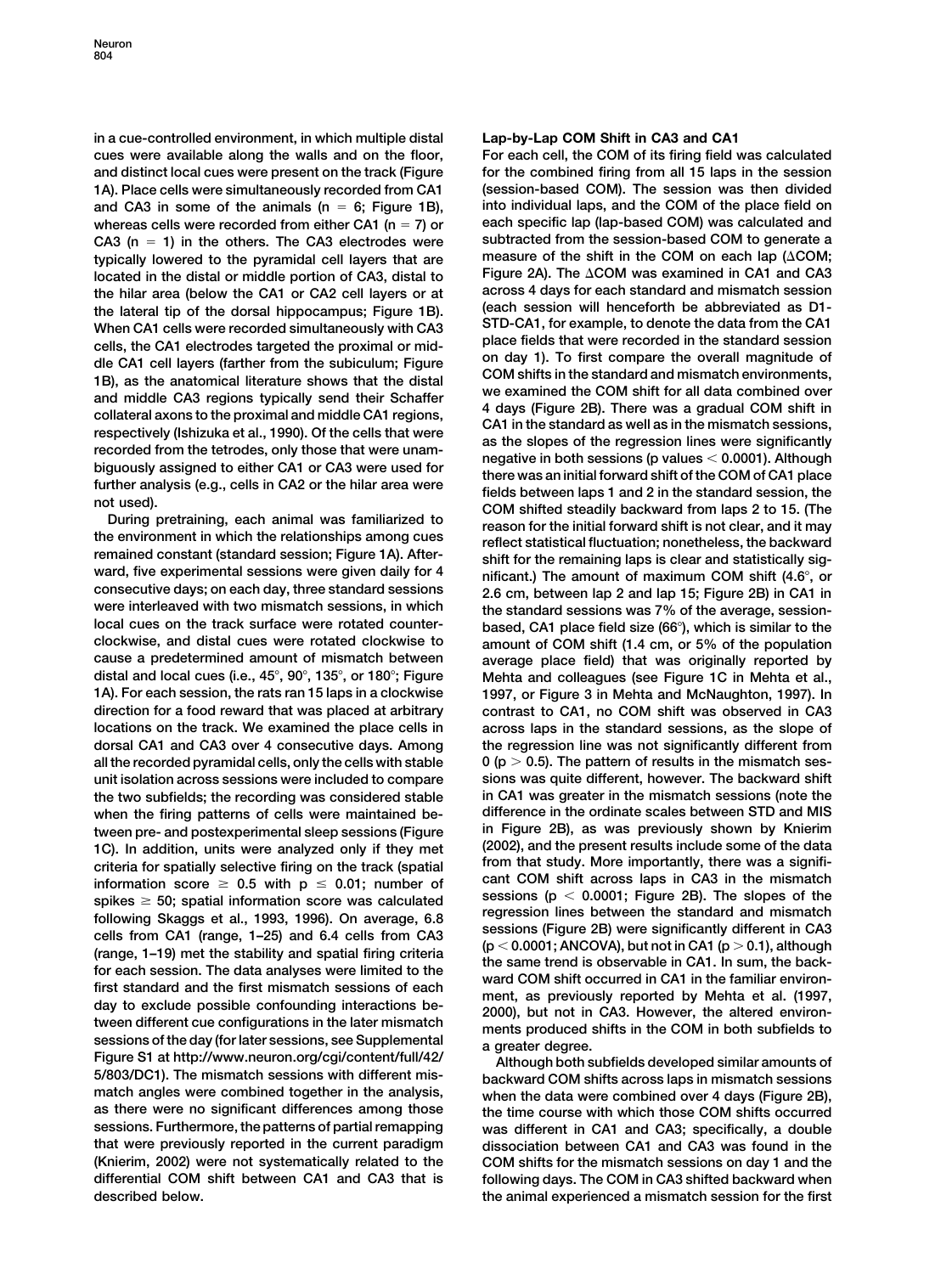**in a cue-controlled environment, in which multiple distal Lap-by-Lap COM Shift in CA3 and CA1 cues were available along the walls and on the floor, For each cell, the COM of its firing field was calculated and distinct local cues were present on the track (Figure for the combined firing from all 15 laps in the session 1A). Place cells were simultaneously recorded from CA1 (session-based COM). The session was then divided and CA3 in some of the animals (n 6; Figure 1B), into individual laps, and the COM of the place field on whereas cells were recorded from either CA1 (n 7) or each specific lap (lap-based COM) was calculated and CA3 (n 1) in the others. The CA3 electrodes were subtracted from the session-based COM to generate a COM; typically lowered to the pyramidal cell layers that are**  $\frac{1}{2}$  located in the distal or middle portion of CA3, distal to Figure 2A). The  $\Delta$ COM was examined in CA1 and CA3 the bilar area (below the CA1 or CA2 cell layers or at across 4 days for each standard and mismatch s the hilar area (below the CA1 or CA2 cell layers or at across 4 days for each standard and mismatch session<br>the lateral tip of the dorsal hippocampus; Figure 1B). (each session will henceforth be abbreviated as D1-<br>When CA When CA1 cells were recorded simultaneously with CA3 STD-CA1, for example, to denote the data from the CA1<br>cells, the CA1 electrodes targeted the proximal or mid-<br>place fields that were recorded in the standard session

ward, five experimental sessions were given daily for 4 inficant.) The amount of maximum COM shift (4.6°, or consecutive days; on each day, three standard sessions<br>were interleaved with two mismatch sessions, in which the were interleaved with two mismatch sessions, in which the standard sessions was 7% of the average, session-<br>
local cues on the track surface were rotated counter-<br>
hased CA1 place field size (66°), which is similar to the **local cues on the track surface were rotated counter- based, CA1 place field size (66), which is similar to the clockwise, and distal cues were rotated clockwise to amount of COM shift (1.4 cm, or 5% of the population cause a predetermined amount of mismatch between average place field) that was originally reported by 1A). For each session, the rats ran 15 laps in a clockwise 1997, or Figure 3 in Mehta and McNaughton, 1997). In direction for a food reward that was placed at arbitrary contrast to CA1, no COM shift was observed in CA3 locations on the track. We examined the place cells in across laps in the standard sessions, as the slope of dorsal CA1 and CA3 over 4 consecutive days. Among the regression line was not significantly different from all the recorded pyramidal cells, only the cells with stable 0 (p 0.5). The pattern of results in the mismatch sesunit isolation across sessions were included to compare sions was quite different, however. The backward shift the two subfields; the recording was considered stable in CA1 was greater in the mismatch sessions (note the** when the firing patterns of cells were maintained be-<br>tween pre- and postexperimental sleep sessions (Figure in Figure 2B), as was previously shown by Knierim tween pre- and postexperimental sleep sessions (Figure **1C). In addition, units were analyzed only if they met (2002), and the present results include some of the data** criteria for spatially selective firing on the track (spatial<br>information score  $\geq 0.5$  with  $p \leq 0.01$ ; number of<br>spikes  $\geq 50$ ; spatial information score was calculated<br>sessions (p < 0.0001; Figure 2B). The simulat match angles were combined together in the analysis, when the data were combined over 4 days (Figure 2B), as there were no significant differences among those the time course with which those COM shifts occurred **sessions. Furthermore, the patterns of partial remapping was different in CA1 and CA3; specifically, a double that were previously reported in the current paradigm dissociation between CA1 and CA3 was found in the (Knierim, 2002) were not systematically related to the COM shifts for the mismatch sessions on day 1 and the differential COM shift between CA1 and CA3 that is following days. The COM in CA3 shifted backward when described below. the animal experienced a mismatch session for the first**

measure of the shift in the COM on each lap  $(\Delta$ COM; Figure 2A). The  $\triangle$ COM was examined in CA1 and CA3 cells, the CA1 electrodes targeted the proximal or mid-<br>
cells, the CA1 cell layers (farther from the subiculum; Figure on day 1). To first compare the overall magnitude of<br>
1B), as the anatomical literature shows that the **Mehta and colleagues (see Figure 1C in Mehta et al.,** 

the time course with which those COM shifts occurred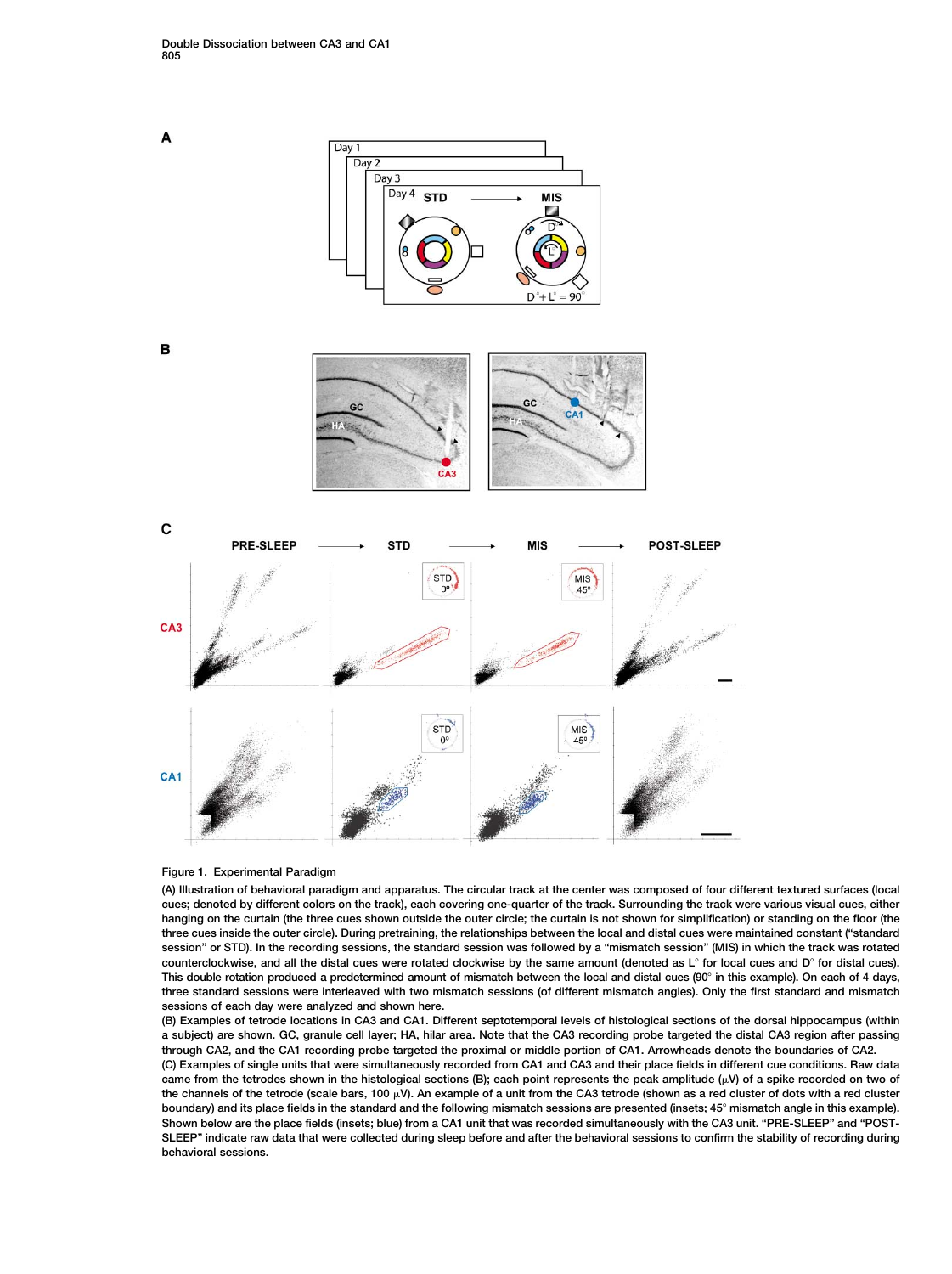

# **Figure 1. Experimental Paradigm**

**behavioral sessions.**

**(A) Illustration of behavioral paradigm and apparatus. The circular track at the center was composed of four different textured surfaces (local cues; denoted by different colors on the track), each covering one-quarter of the track. Surrounding the track were various visual cues, either hanging on the curtain (the three cues shown outside the outer circle; the curtain is not shown for simplification) or standing on the floor (the three cues inside the outer circle). During pretraining, the relationships between the local and distal cues were maintained constant ("standard session" or STD). In the recording sessions, the standard session was followed by a "mismatch session" (MIS) in which the track was rotated** counterclockwise, and all the distal cues were rotated clockwise by the same amount (denoted as L° for local cues and D° for distal cues). **This double rotation produced a predetermined amount of mismatch between the local and distal cues (90 in this example). On each of 4 days, three standard sessions were interleaved with two mismatch sessions (of different mismatch angles). Only the first standard and mismatch sessions of each day were analyzed and shown here.**

**(B) Examples of tetrode locations in CA3 and CA1. Different septotemporal levels of histological sections of the dorsal hippocampus (within a subject) are shown. GC, granule cell layer; HA, hilar area. Note that the CA3 recording probe targeted the distal CA3 region after passing through CA2, and the CA1 recording probe targeted the proximal or middle portion of CA1. Arrowheads denote the boundaries of CA2. (C) Examples of single units that were simultaneously recorded from CA1 and CA3 and their place fields in different cue conditions. Raw data** came from the tetrodes shown in the histological sections (B); each point represents the peak amplitude ( $\mu$ V) of a spike recorded on two of **the channels of the tetrode (scale bars, 100 V). An example of a unit from the CA3 tetrode (shown as a red cluster of dots with a red cluster boundary) and its place fields in the standard and the following mismatch sessions are presented (insets; 45 mismatch angle in this example). Shown below are the place fields (insets; blue) from a CA1 unit that was recorded simultaneously with the CA3 unit. "PRE-SLEEP" and "POST-SLEEP" indicate raw data that were collected during sleep before and after the behavioral sessions to confirm the stability of recording during**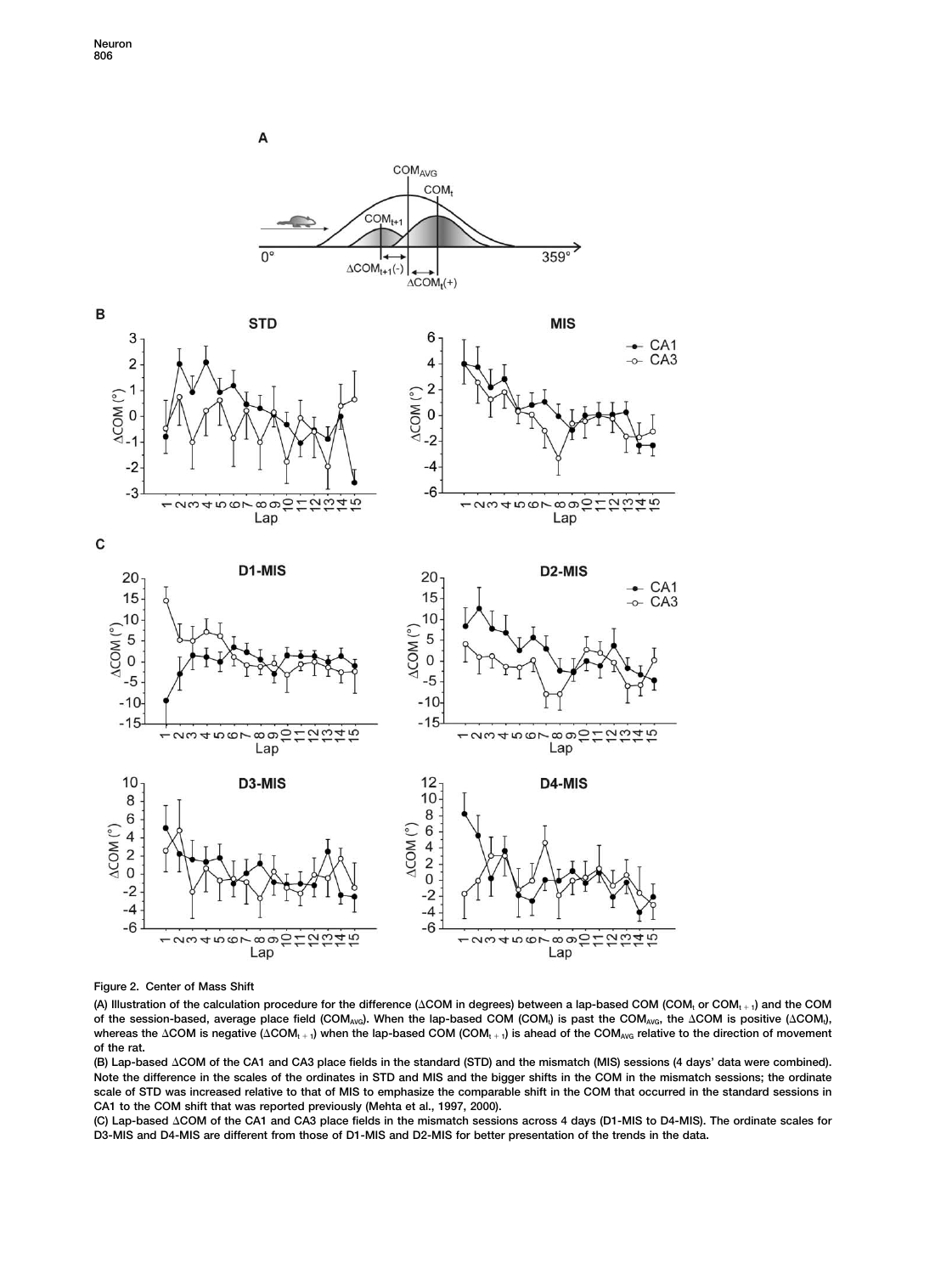

**Figure 2. Center of Mass Shift**

(A) Illustration of the calculation procedure for the difference (ΔCOM in degrees) between a lap-based COM (COM $_{\rm t}$  or COM $_{\rm t+1}$ ) and the COM of the session-based, average place field (COM<sub>AVG</sub>). When the lap-based COM (COM<sub>t</sub>) is past the COM<sub>AVG</sub>, the  $\Delta$ COM is positive ( $\Delta$ COM<sub>t</sub>), whereas the  $\Delta$ COM is negative ( $\Delta$ COM<sub>t + 1</sub>) when the lap-based COM (COM<sub>t + 1</sub>) is ahead of the COM<sub>AVG</sub> relative to the direction of movement **of the rat.**

(B) Lap-based ∆COM of the CA1 and CA3 place fields in the standard (STD) and the mismatch (MIS) sessions (4 days' data were combined). **Note the difference in the scales of the ordinates in STD and MIS and the bigger shifts in the COM in the mismatch sessions; the ordinate scale of STD was increased relative to that of MIS to emphasize the comparable shift in the COM that occurred in the standard sessions in CA1 to the COM shift that was reported previously (Mehta et al., 1997, 2000).**

(C) Lap-based ΔCOM of the CA1 and CA3 place fields in the mismatch sessions across 4 days (D1-MIS to D4-MIS). The ordinate scales for **D3-MIS and D4-MIS are different from those of D1-MIS and D2-MIS for better presentation of the trends in the data.**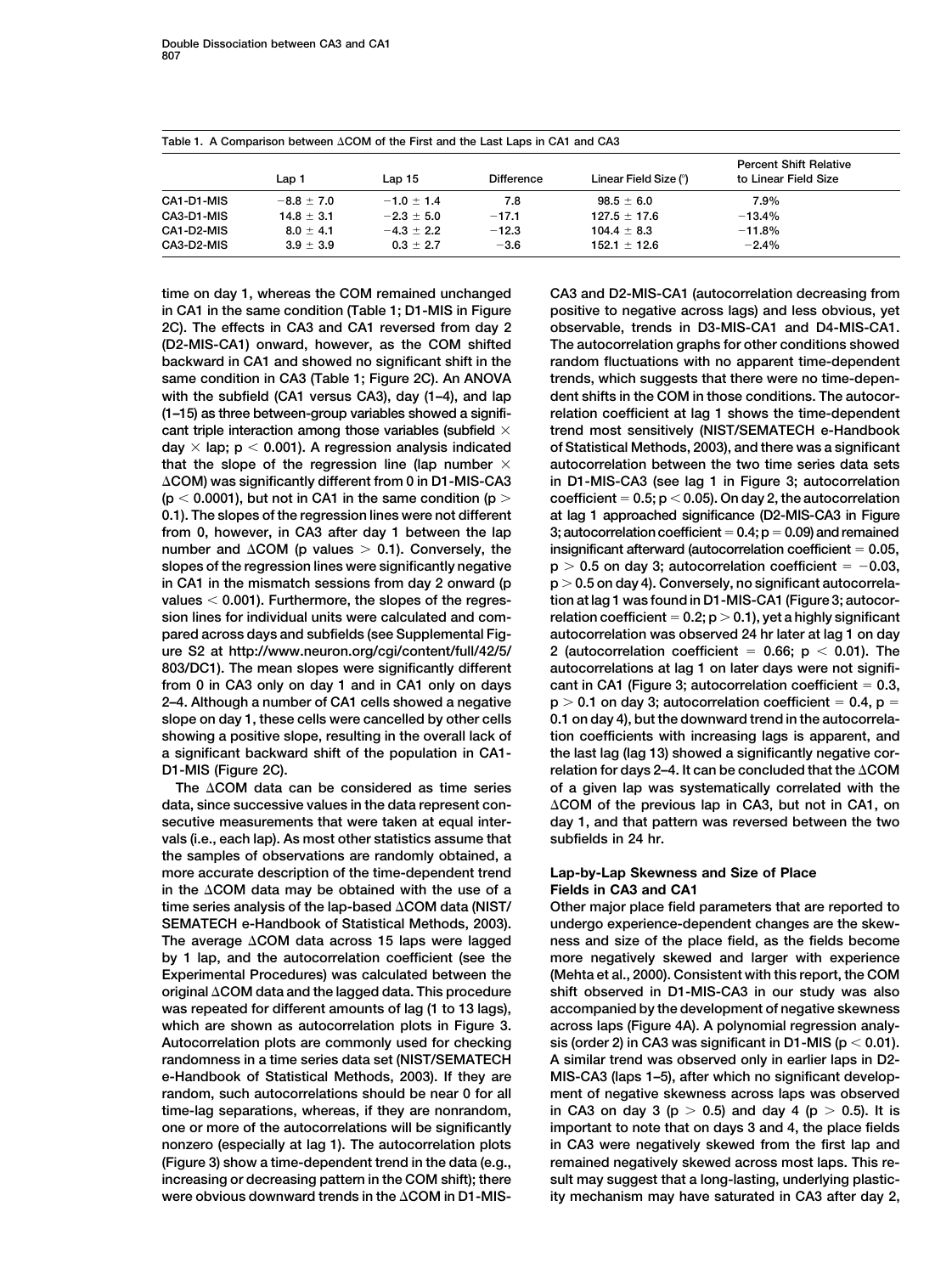| Table 1. A Comparison between $\triangle COM$ of the First and the Last Laps in CA1 and CA3 |                |                |                   |                       |                                                       |  |  |
|---------------------------------------------------------------------------------------------|----------------|----------------|-------------------|-----------------------|-------------------------------------------------------|--|--|
|                                                                                             | Lap 1          | Lap 15         | <b>Difference</b> | Linear Field Size (°) | <b>Percent Shift Relative</b><br>to Linear Field Size |  |  |
| CA1-D1-MIS                                                                                  | $-8.8 \pm 7.0$ | $-1.0 \pm 1.4$ | 7.8               | $98.5 \pm 6.0$        | 7.9%                                                  |  |  |
| CA3-D1-MIS                                                                                  | $14.8 \pm 3.1$ | $-2.3 \pm 5.0$ | $-17.1$           | $127.5 \pm 17.6$      | $-13.4%$                                              |  |  |
| CA1-D2-MIS                                                                                  | $8.0 \pm 4.1$  | $-4.3 \pm 2.2$ | $-12.3$           | $104.4 \pm 8.3$       | $-11.8%$                                              |  |  |
| CA3-D2-MIS                                                                                  | $3.9 \pm 3.9$  | $0.3 \pm 2.7$  | $-3.6$            | $152.1 \pm 12.6$      | $-2.4\%$                                              |  |  |

**in CA1 in the same condition (Table 1; D1-MIS in Figure positive to negative across lags) and less obvious, yet 2C). The effects in CA3 and CA1 reversed from day 2 observable, trends in D3-MIS-CA1 and D4-MIS-CA1. (D2-MIS-CA1) onward, however, as the COM shifted The autocorrelation graphs for other conditions showed backward in CA1 and showed no significant shift in the random fluctuations with no apparent time-dependent same condition in CA3 (Table 1; Figure 2C). An ANOVA trends, which suggests that there were no time-depen**with the subfield (CA1 versus CA3), day (1-4), and lap dent shifts in the COM in those conditions. The autocor-**(1–15) as three between-group variables showed a signifi- relation coefficient at lag 1 shows the time-dependent cant triple interaction among those variables (subfield trend most sensitively (NIST/SEMATECH e-Handbook day lap; p 0.001). A regression analysis indicated of Statistical Methods, 2003), and there was a significant that the slope of the regression line (lap number autocorrelation between the two time series data sets** ∆COM) was significantly different from 0 in D1-MIS-CA3 **(p 0.0001), but not in CA1 in the same condition (p coefficient 0.5; p 0.05). On day 2, the autocorrelation 0.1). The slopes of the regression lines were not different at lag 1 approached significance (D2-MIS-CA3 in Figure from 0, however, in CA3 after day 1 between the lap 3; autocorrelation coefficient 0.4; p 0.09) and remained** number and  $\triangle COM$  (p values  $> 0.1$ ). Conversely, the slopes of the regression lines were significantly negative **in CA1 in the mismatch sessions from day 2 onward (p p 0.5 on day 4). Conversely, no significant autocorrelavalues 0.001). Furthermore, the slopes of the regres- tion at lag 1 was found in D1-MIS-CA1 (Figure 3; autocorsion lines for individual units were calculated and com- relation coefficient 0.2; p 0.1), yet a highly significant pared across days and subfields (see Supplemental Fig- autocorrelation was observed 24 hr later at lag 1 on day ure S2 at http://www.neuron.org/cgi/content/full/42/5/ 2 (autocorrelation coefficient 0.66; p 0.01). The 803/DC1). The mean slopes were significantly different autocorrelations at lag 1 on later days were not signififrom 0 in CA3 only on day 1 and in CA1 only on days cant in CA1 (Figure 3; autocorrelation coefficient 0.3, 2–4. Although a number of CA1 cells showed a negative p 0.1 on day 3; autocorrelation coefficient 0.4, p slope on day 1, these cells were cancelled by other cells 0.1 on day 4), but the downward trend in the autocorrelashowing a positive slope, resulting in the overall lack of tion coefficients with increasing lags is apparent, and a significant backward shift of the population in CA1- the last lag (lag 13) showed a significantly negative cor-D1-MIS (Figure 2C).**  $\blacksquare$   $\blacksquare$   $\blacksquare$   $\blacksquare$   $\blacksquare$   $\blacksquare$   $\blacksquare$   $\blacksquare$   $\blacksquare$   $\blacksquare$   $\blacksquare$   $\blacksquare$   $\blacksquare$   $\blacksquare$   $\blacksquare$   $\blacksquare$   $\blacksquare$   $\blacksquare$   $\blacksquare$   $\blacksquare$   $\blacksquare$   $\blacksquare$   $\blacksquare$   $\blacksquare$   $\blacksquare$   $\blacksquare$   $\blacksquare$   $\blacksquare$   $\blacks$ 

The  $\triangle$ COM data can be considered as time series **data, since successive values in the data represent con- secutive measurements that were taken at equal inter- day 1, and that pattern was reversed between the two** vals (i.e., each lap). As most other statistics assume that subfields in 24 hr. **the samples of observations are randomly obtained, a more accurate description of the time-dependent trend Lap-by-Lap Skewness and Size of Place** in the  $\Delta$ COM data may be obtained with the use of a **Fields in CA3 and CA1** time series analysis of the lap-based  $\triangle COM$  data (NIST/ **SEMATECH e-Handbook of Statistical Methods, 2003). undergo experience-dependent changes are the skew-**The average  $\triangle$ COM data across 15 laps were lagged **by 1 lap, and the autocorrelation coefficient (see the more negatively skewed and larger with experience Experimental Procedures) was calculated between the (Mehta et al., 2000). Consistent with this report, the COM**  $\alpha$  original  $\Delta$ COM data and the lagged data. This procedure **was repeated for different amounts of lag (1 to 13 lags), accompanied by the development of negative skewness which are shown as autocorrelation plots in Figure 3. across laps (Figure 4A). A polynomial regression analy-**Autocorrelation plots are commonly used for checking sis (order 2) in CA3 was significant in D1-MIS (p < 0.01). **randomness in a time series data set (NIST/SEMATECH A similar trend was observed only in earlier laps in D2 e-Handbook of Statistical Methods, 2003). If they are MIS-CA3 (laps 1–5), after which no significant developrandom, such autocorrelations should be near 0 for all ment of negative skewness across laps was observed** time-lag separations, whereas, if they are nonrandom, in CA3 on day 3 ( $p > 0.5$ ) and day 4 ( $p > 0.5$ ). It is **one or more of the autocorrelations will be significantly important to note that on days 3 and 4, the place fields nonzero (especially at lag 1). The autocorrelation plots in CA3 were negatively skewed from the first lap and (Figure 3) show a time-dependent trend in the data (e.g., remained negatively skewed across most laps. This re**increasing or decreasing pattern in the COM shift); there sult may suggest that a long-lasting, underlying plasticwere obvious downward trends in the  $\Delta$ COM in D1-MIS-

**time on day 1, whereas the COM remained unchanged CA3 and D2-MIS-CA1 (autocorrelation decreasing from COM) was significantly different from 0 in D1-MIS-CA3 in D1-MIS-CA3 (see lag 1 in Figure 3; autocorrelation insignificant afterward (autocorrelation coefficient = 0.05,**  $p > 0.5$  on day 3; autocorrelation coefficient  $= -0.03$ , of a given lap was systematically correlated with the **COM of the previous lap in CA3, but not in CA1, on**

**Other major place field parameters that are reported to**  $ness$  and size of the place field, as the fields become shift observed in D1-MIS-CA3 in our study was also **COM in D1-MIS- ity mechanism may have saturated in CA3 after day 2,**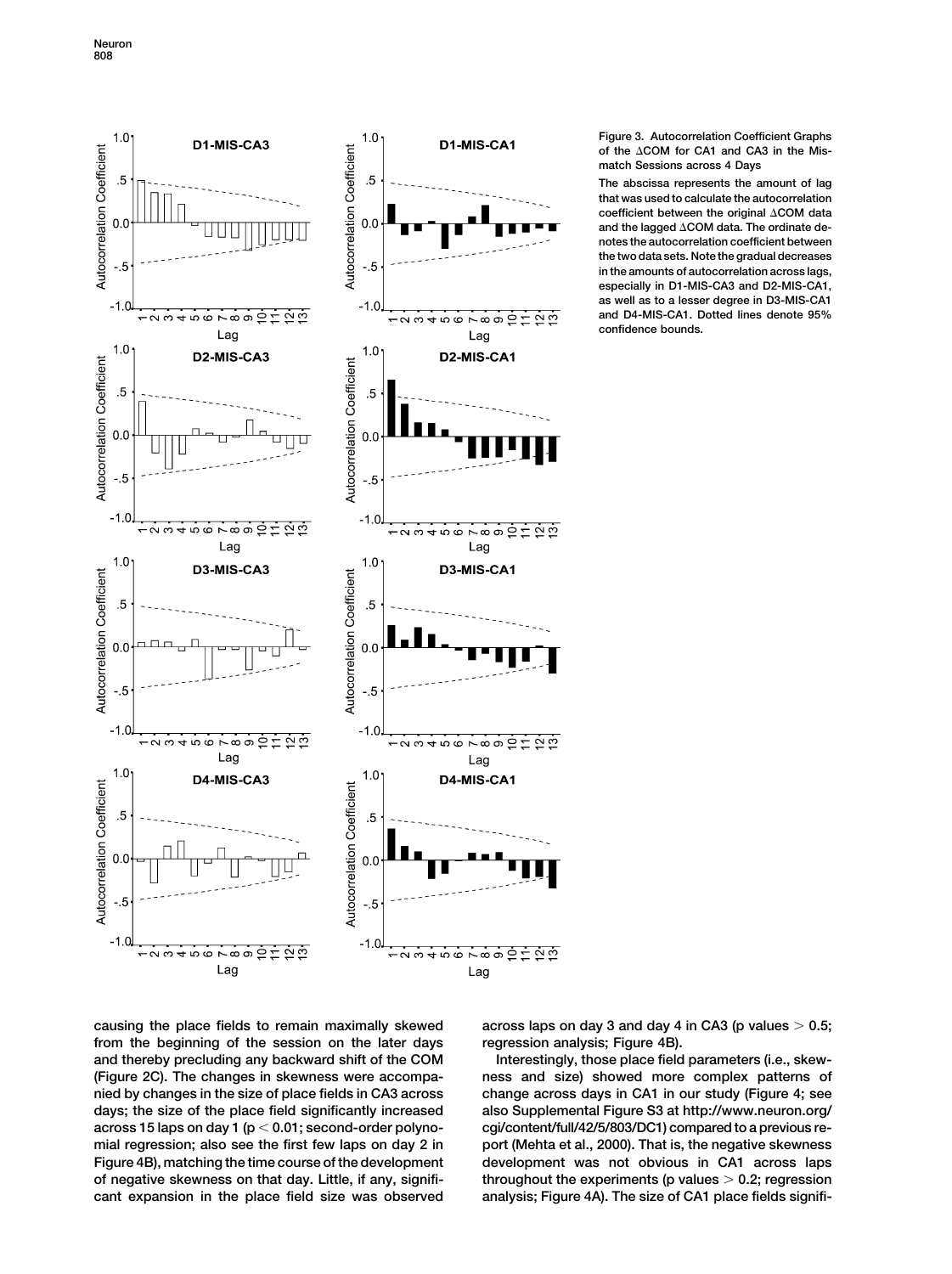

**Figure 3. Autocorrelation Coefficient Graphs** of the  $\triangle$ COM for CA1 and CA3 in the Mis**match Sessions across 4 Days**

**The abscissa represents the amount of lag that was used to calculate the autocorrelation**  $\alpha$  coefficient between the original  $\Delta$ COM data and the lagged  $\Delta$ COM data. The ordinate de**notes the autocorrelation coefficient between the two data sets. Note the gradual decreases in the amounts of autocorrelation across lags, especially in D1-MIS-CA3 and D2-MIS-CA1, as well as to a lesser degree in D3-MIS-CA1 and D4-MIS-CA1. Dotted lines denote 95% confidence bounds.**

**causing the place fields to remain maximally skewed across laps on day 3 and day 4 in CA3 (p values 0.5; from the beginning of the session on the later days regression analysis; Figure 4B). and thereby precluding any backward shift of the COM Interestingly, those place field parameters (i.e., skew- (Figure 2C). The changes in skewness were accompa- ness and size) showed more complex patterns of nied by changes in the size of place fields in CA3 across change across days in CA1 in our study (Figure 4; see days; the size of the place field significantly increased also Supplemental Figure S3 at http://www.neuron.org/ across 15 laps on day 1 (p 0.01; second-order polyno- cgi/content/full/42/5/803/DC1) compared to a previous remial regression; also see the first few laps on day 2 in port (Mehta et al., 2000). That is, the negative skewness Figure 4B), matching the time course of the development development was not obvious in CA1 across laps of negative skewness on that day. Little, if any, signifi- throughout the experiments (p values 0.2; regression**

**cant expansion in the place field size was observed analysis; Figure 4A). The size of CA1 place fields signifi-**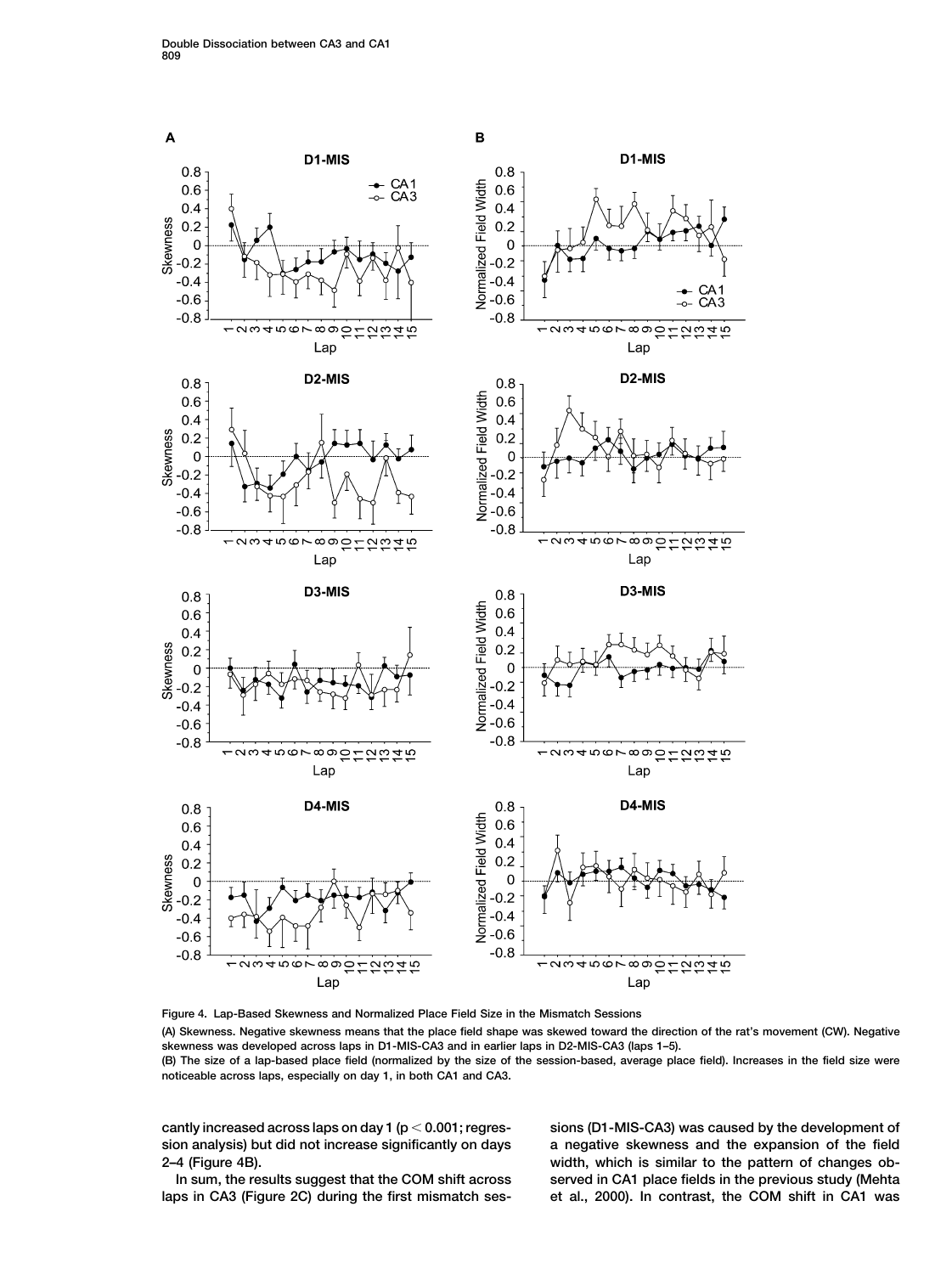

**Figure 4. Lap-Based Skewness and Normalized Place Field Size in the Mismatch Sessions (A) Skewness. Negative skewness means that the place field shape was skewed toward the direction of the rat's movement (CW). Negative skewness was developed across laps in D1-MIS-CA3 and in earlier laps in D2-MIS-CA3 (laps 1–5). (B) The size of a lap-based place field (normalized by the size of the session-based, average place field). Increases in the field size were noticeable across laps, especially on day 1, in both CA1 and CA3.**

**cantly increased across laps on day 1 (p 0.001; regres- sions (D1-MIS-CA3) was caused by the development of sion analysis) but did not increase significantly on days a negative skewness and the expansion of the field 2–4 (Figure 4B). width, which is similar to the pattern of changes ob-In sum, the results suggest that the COM shift across served in CA1 place fields in the previous study (Mehta laps in CA3 (Figure 2C) during the first mismatch ses- et al., 2000). In contrast, the COM shift in CA1 was**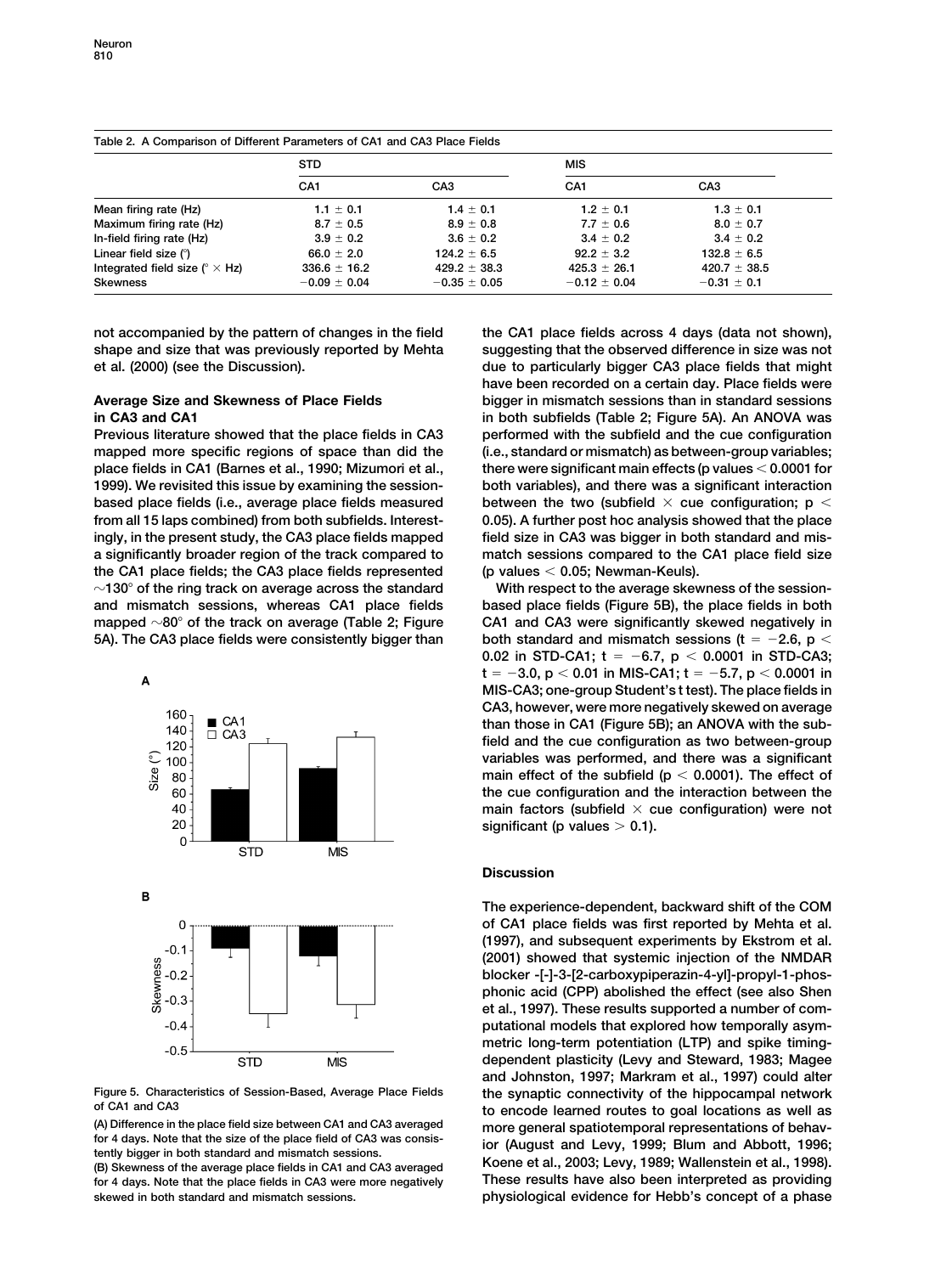|                                              | <b>STD</b>       |                  | <b>MIS</b>       |                  |
|----------------------------------------------|------------------|------------------|------------------|------------------|
|                                              | CA <sub>1</sub>  | CA <sub>3</sub>  | CA <sub>1</sub>  | CA <sub>3</sub>  |
| Mean firing rate (Hz)                        | $1.1 \pm 0.1$    | $1.4 \pm 0.1$    | $1.2 \pm 0.1$    | $1.3 \pm 0.1$    |
| Maximum firing rate (Hz)                     | $8.7 \pm 0.5$    | $8.9 \pm 0.8$    | $7.7 \pm 0.6$    | $8.0 \pm 0.7$    |
| In-field firing rate (Hz)                    | $3.9 \pm 0.2$    | $3.6 \pm 0.2$    | $3.4 \pm 0.2$    | $3.4 \pm 0.2$    |
| Linear field size $(°)$                      | 66.0 $\pm$ 2.0   | $124.2 \pm 6.5$  | $92.2 \pm 3.2$   | $132.8 \pm 6.5$  |
| Integrated field size $(^{\circ} \times$ Hz) | $336.6 \pm 16.2$ | $429.2 \pm 38.3$ | $425.3 \pm 26.1$ | $420.7 \pm 38.5$ |
| <b>Skewness</b>                              | $-0.09 \pm 0.04$ | $-0.35 \pm 0.05$ | $-0.12 \pm 0.04$ | $-0.31 \pm 0.1$  |

**Table 2. A Comparison of Different Parameters of CA1 and CA3 Place Fields**

**shape and size that was previously reported by Mehta suggesting that the observed difference in size was not et al. (2000) (see the Discussion). due to particularly bigger CA3 place fields that might**

**mapped more specific regions of space than did the (i.e., standard or mismatch) as between-group variables; place fields in CA1 (Barnes et al., 1990; Mizumori et al., there were significant main effects (p values 0.0001 for 1999). We revisited this issue by examining the session- both variables), and there was a significant interaction based place fields (i.e., average place fields measured between the two (subfield cue configuration; p from all 15 laps combined) from both subfields. Interest- 0.05). A further post hoc analysis showed that the place ingly, in the present study, the CA3 place fields mapped field size in CA3 was bigger in both standard and misa significantly broader region of the track compared to match sessions compared to the CA1 place field size the CA1 place fields; the CA3 place fields represented (p values 0.05; Newman-Keuls).**  $\sim$ 130° of the ring track on average across the standard With respect to the average skewness of the session**and mismatch sessions, whereas CA1 place fields based place fields (Figure 5B), the place fields in both mapped 80 of the track on average (Table 2; Figure CA1 and CA3 were significantly skewed negatively in 5A). The CA3 place fields were consistently bigger than** 



**for 4 days. Note that the place fields in CA3 were more negatively These results have also been interpreted as providing skewed in both standard and mismatch sessions. physiological evidence for Hebb's concept of a phase**

**not accompanied by the pattern of changes in the field the CA1 place fields across 4 days (data not shown), have been recorded on a certain day. Place fields were Average Size and Skewness of Place Fields bigger in mismatch sessions than in standard sessions in CA3 and CA1 in both subfields (Table 2; Figure 5A). An ANOVA was Previous literature showed that the place fields in CA3 performed with the subfield and the cue configuration**

> both standard and mismatch sessions ( $t = -2.6$ ,  $p <$ **0.02 in STD-CA1; t 6.7, p 0.0001 in STD-CA3; t 3.0, p 0.01 in MIS-CA1; t 5.7, p 0.0001 in MIS-CA3; one-group Student's t test). The place fields in CA3, however, were more negatively skewed on average than those in CA1 (Figure 5B); an ANOVA with the subfield and the cue configuration as two between-group variables was performed, and there was a significant** main effect of the subfield  $(p < 0.0001)$ . The effect of **the cue configuration and the interaction between the** main factors (subfield  $\times$  cue configuration) were not significant (p values  $> 0.1$ ).

# **Discussion**

**The experience-dependent, backward shift of the COM of CA1 place fields was first reported by Mehta et al. (1997), and subsequent experiments by Ekstrom et al. (2001) showed that systemic injection of the NMDAR blocker -[-]-3-[2-carboxypiperazin-4-yl]-propyl-1-phosphonic acid (CPP) abolished the effect (see also Shen et al., 1997). These results supported a number of computational models that explored how temporally asymmetric long-term potentiation (LTP) and spike timingdependent plasticity (Levy and Steward, 1983; Magee and Johnston, 1997; Markram et al., 1997) could alter Figure 5. Characteristics of Session-Based, Average Place Fields the synaptic connectivity of the hippocampal network of CA1 and CA3 to encode learned routes to goal locations as well as** (A) Difference in the place field size between CA1 and CA3 averaged<br>for 4 days. Note that the size of the place field of CA3 was consis-<br>tently bigger in both standard and mismatch sessions.<br>(B) Skewness of the average pla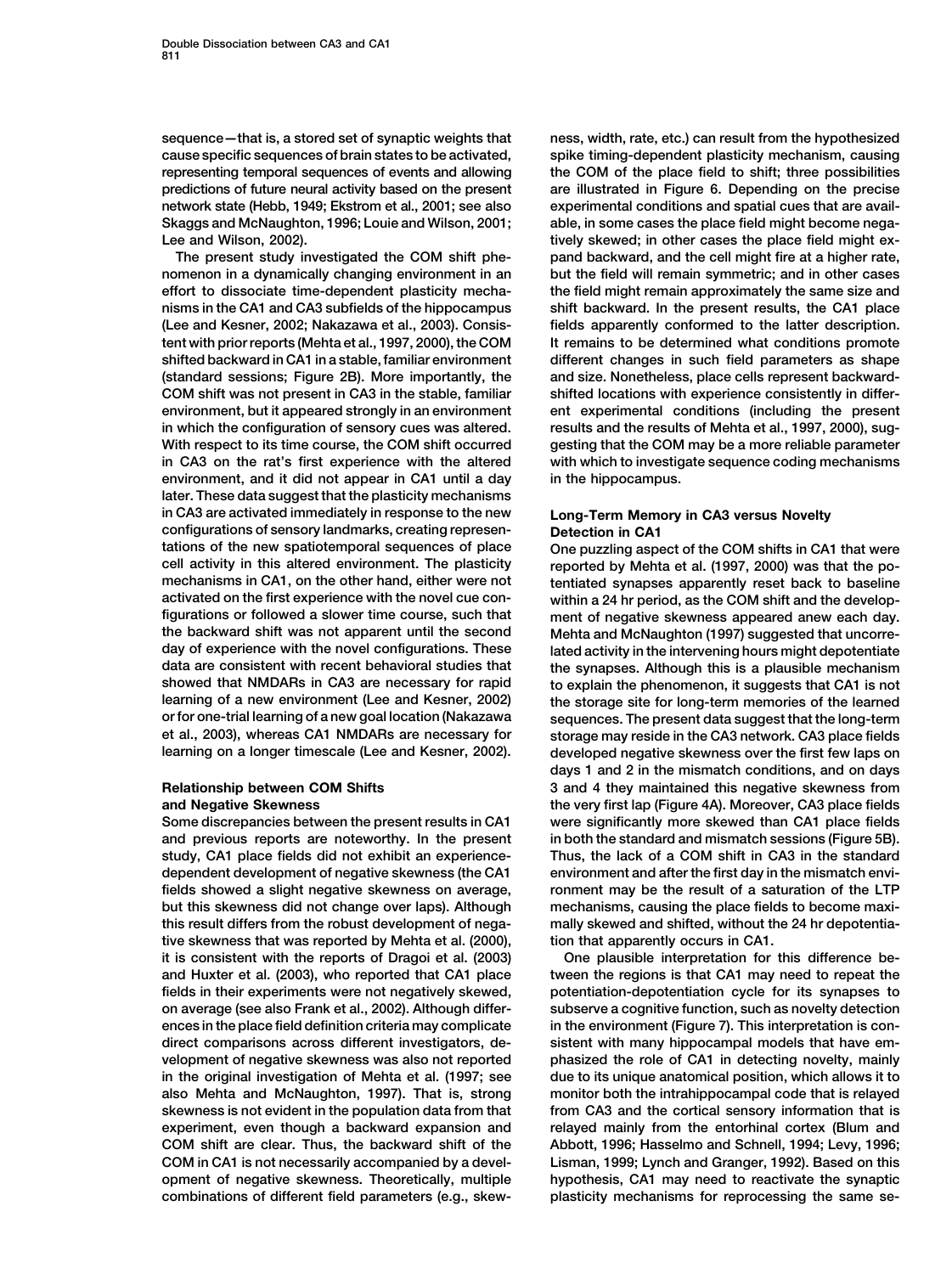**nomenon in a dynamically changing environment in an but the field will remain symmetric; and in other cases effort to dissociate time-dependent plasticity mecha- the field might remain approximately the same size and nisms in the CA1 and CA3 subfields of the hippocampus shift backward. In the present results, the CA1 place (Lee and Kesner, 2002; Nakazawa et al., 2003). Consis- fields apparently conformed to the latter description. tent with prior reports (Mehta et al., 1997, 2000), the COM It remains to be determined what conditions promote shifted backward in CA1 in a stable, familiar environment different changes in such field parameters as shape (standard sessions; Figure 2B). More importantly, the and size. Nonetheless, place cells represent backward-COM shift was not present in CA3 in the stable, familiar shifted locations with experience consistently in differenvironment, but it appeared strongly in an environment ent experimental conditions (including the present in which the configuration of sensory cues was altered. results and the results of Mehta et al., 1997, 2000), sug-**With respect to its time course, the COM shift occurred gesting that the COM may be a more reliable parameter **in CA3 on the rat's first experience with the altered with which to investigate sequence coding mechanisms environment, and it did not appear in CA1 until a day in the hippocampus. later. These data suggest that the plasticity mechanisms in CA3 are activated immediately in response to the new Long-Term Memory in CA3 versus Novelty configurations of sensory landmarks, creating represen- Detection in CA1 tations of the new spatiotemporal sequences of place One puzzling aspect of the COM shifts in CA1 that were cell activity in this altered environment. The plasticity reported by Mehta et al. (1997, 2000) was that the pomechanisms in CA1, on the other hand, either were not tentiated synapses apparently reset back to baseline activated on the first experience with the novel cue con- within a 24 hr period, as the COM shift and the developfigurations or followed a slower time course, such that ment of negative skewness appeared anew each day. the backward shift was not apparent until the second Mehta and McNaughton (1997) suggested that uncorreday of experience with the novel configurations. These lated activity in the intervening hours might depotentiate data are consistent with recent behavioral studies that the synapses. Although this is a plausible mechanism showed that NMDARs in CA3 are necessary for rapid to explain the phenomenon, it suggests that CA1 is not or for one-trial learning of a new goal location (Nakazawa sequences. The present data suggest that the long-term et al., 2003), whereas CA1 NMDARs are necessary for storage may reside in the CA3 network. CA3 place fields**

**Some discrepancies between the present results in CA1 were significantly more skewed than CA1 place fields and previous reports are noteworthy. In the present in both the standard and mismatch sessions (Figure 5B). study, CA1 place fields did not exhibit an experience- Thus, the lack of a COM shift in CA3 in the standard dependent development of negative skewness (the CA1 environment and after the first day in the mismatch envifields showed a slight negative skewness on average, ronment may be the result of a saturation of the LTP but this skewness did not change over laps). Although mechanisms, causing the place fields to become maxithis result differs from the robust development of nega- mally skewed and shifted, without the 24 hr depotentiative skewness that was reported by Mehta et al. (2000), tion that apparently occurs in CA1. it is consistent with the reports of Dragoi et al. (2003) One plausible interpretation for this difference beand Huxter et al. (2003), who reported that CA1 place tween the regions is that CA1 may need to repeat the fields in their experiments were not negatively skewed, potentiation-depotentiation cycle for its synapses to on average (see also Frank et al., 2002). Although differ- subserve a cognitive function, such as novelty detection ences in the place field definition criteria may complicate in the environment (Figure 7). This interpretation is condirect comparisons across different investigators, de- sistent with many hippocampal models that have emvelopment of negative skewness was also not reported phasized the role of CA1 in detecting novelty, mainly in the original investigation of Mehta et al. (1997; see due to its unique anatomical position, which allows it to also Mehta and McNaughton, 1997). That is, strong monitor both the intrahippocampal code that is relayed** skewness is not evident in the population data from that from CA3 and the cortical sensory information that is **experiment, even though a backward expansion and relayed mainly from the entorhinal cortex (Blum and COM shift are clear. Thus, the backward shift of the Abbott, 1996; Hasselmo and Schnell, 1994; Levy, 1996; COM in CA1 is not necessarily accompanied by a devel- Lisman, 1999; Lynch and Granger, 1992). Based on this opment of negative skewness. Theoretically, multiple hypothesis, CA1 may need to reactivate the synaptic combinations of different field parameters (e.g., skew- plasticity mechanisms for reprocessing the same se-**

**sequence—that is, a stored set of synaptic weights that ness, width, rate, etc.) can result from the hypothesized cause specific sequences of brain states to be activated, spike timing-dependent plasticity mechanism, causing representing temporal sequences of events and allowing the COM of the place field to shift; three possibilities predictions of future neural activity based on the present are illustrated in Figure 6. Depending on the precise network state (Hebb, 1949; Ekstrom et al., 2001; see also experimental conditions and spatial cues that are avail-Skaggs and McNaughton, 1996; Louie and Wilson, 2001; able, in some cases the place field might become nega-**Lee and Wilson, 2002). **tively skewed; in other cases the place field might ex-The present study investigated the COM shift phe- pand backward, and the cell might fire at a higher rate,**

**learning of a new environment (Lee and Kesner, 2002) the storage site for long-term memories of the learned learning on a longer timescale (Lee and Kesner, 2002). developed negative skewness over the first few laps on days 1 and 2 in the mismatch conditions, and on days Relationship between COM Shifts 3 and 4 they maintained this negative skewness from and Negative Skewness the very first lap (Figure 4A). Moreover, CA3 place fields**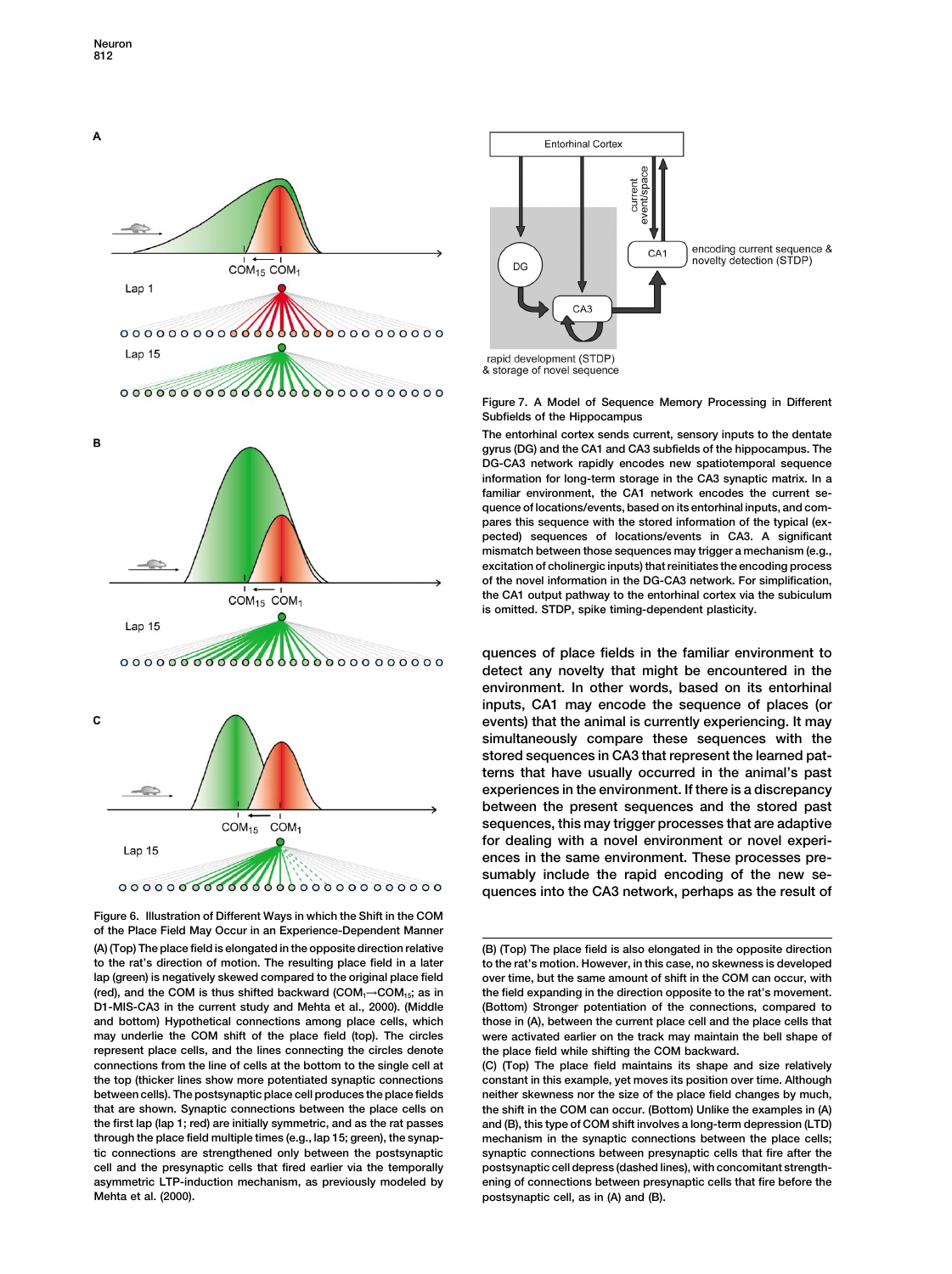

**Figure 6. Illustration of Different Ways in which the Shift in the COM of the Place Field May Occur in an Experience-Dependent Manner (A) (Top) The place field is elongated in the opposite direction relative (B) (Top) The place field is also elongated in the opposite direction to the rat's direction of motion. The resulting place field in a later to the rat's motion. However, in this case, no skewness is developed lap (green) is negatively skewed compared to the original place field over time, but the same amount of shift in the COM can occur, with** (red), and the COM is thus shifted backward (COM<sub>1</sub>→COM<sub>15</sub>; as in the field expanding in the direction opposite to the rat's movement.<br>D1-MIS-CA3 in the current study and Mehta et al., 2000). (Middle (Bottom) Stronger po **and bottom) Hypothetical connections among place cells, which those in (A), between the current place cell and the place cells that may underlie the COM shift of the place field (top). The circles were activated earlier on the track may maintain the bell shape of represent place cells, and the lines connecting the circles denote the place field while shifting the COM backward. connections from the line of cells at the bottom to the single cell at (C) (Top) The place field maintains its shape and size relatively the top (thicker lines show more potentiated synaptic connections constant in this example, yet moves its position over time. Although between cells). The postsynaptic place cell produces the place fields neither skewness nor the size of the place field changes by much, that are shown. Synaptic connections between the place cells on the shift in the COM can occur. (Bottom) Unlike the examples in (A) the first lap (lap 1; red) are initially symmetric, and as the rat passes and (B), this type of COM shift involves a long-term depression (LTD) through the place field multiple times (e.g., lap 15; green), the synap- mechanism in the synaptic connections between the place cells; tic connections are strengthened only between the postsynaptic synaptic connections between presynaptic cells that fire after the cell and the presynaptic cells that fired earlier via the temporally postsynaptic cell depress (dashed lines), with concomitant strengthasymmetric LTP-induction mechanism, as previously modeled by ening of connections between presynaptic cells that fire before the Mehta et al. (2000). postsynaptic cell, as in (A) and (B).**





### **Figure 7. A Model of Sequence Memory Processing in Different Subfields of the Hippocampus**

**The entorhinal cortex sends current, sensory inputs to the dentate gyrus (DG) and the CA1 and CA3 subfields of the hippocampus. The DG-CA3 network rapidly encodes new spatiotemporal sequence information for long-term storage in the CA3 synaptic matrix. In a familiar environment, the CA1 network encodes the current sequence of locations/events, based on its entorhinal inputs, and compares this sequence with the stored information of the typical (expected) sequences of locations/events in CA3. A significant mismatch between those sequences may trigger a mechanism (e.g., excitation of cholinergic inputs) that reinitiates the encoding process of the novel information in the DG-CA3 network. For simplification, the CA1 output pathway to the entorhinal cortex via the subiculum is omitted. STDP, spike timing-dependent plasticity.**

**quences of place fields in the familiar environment to detect any novelty that might be encountered in the environment. In other words, based on its entorhinal inputs, CA1 may encode the sequence of places (or events) that the animal is currently experiencing. It may simultaneously compare these sequences with the stored sequences in CA3 that represent the learned patterns that have usually occurred in the animal's past experiences in the environment. If there is a discrepancy between the present sequences and the stored past sequences, this may trigger processes that are adaptive for dealing with a novel environment or novel experiences in the same environment. These processes presumably include the rapid encoding of the new sequences into the CA3 network, perhaps as the result of**

<sup>(</sup>Bottom) Stronger potentiation of the connections, compared to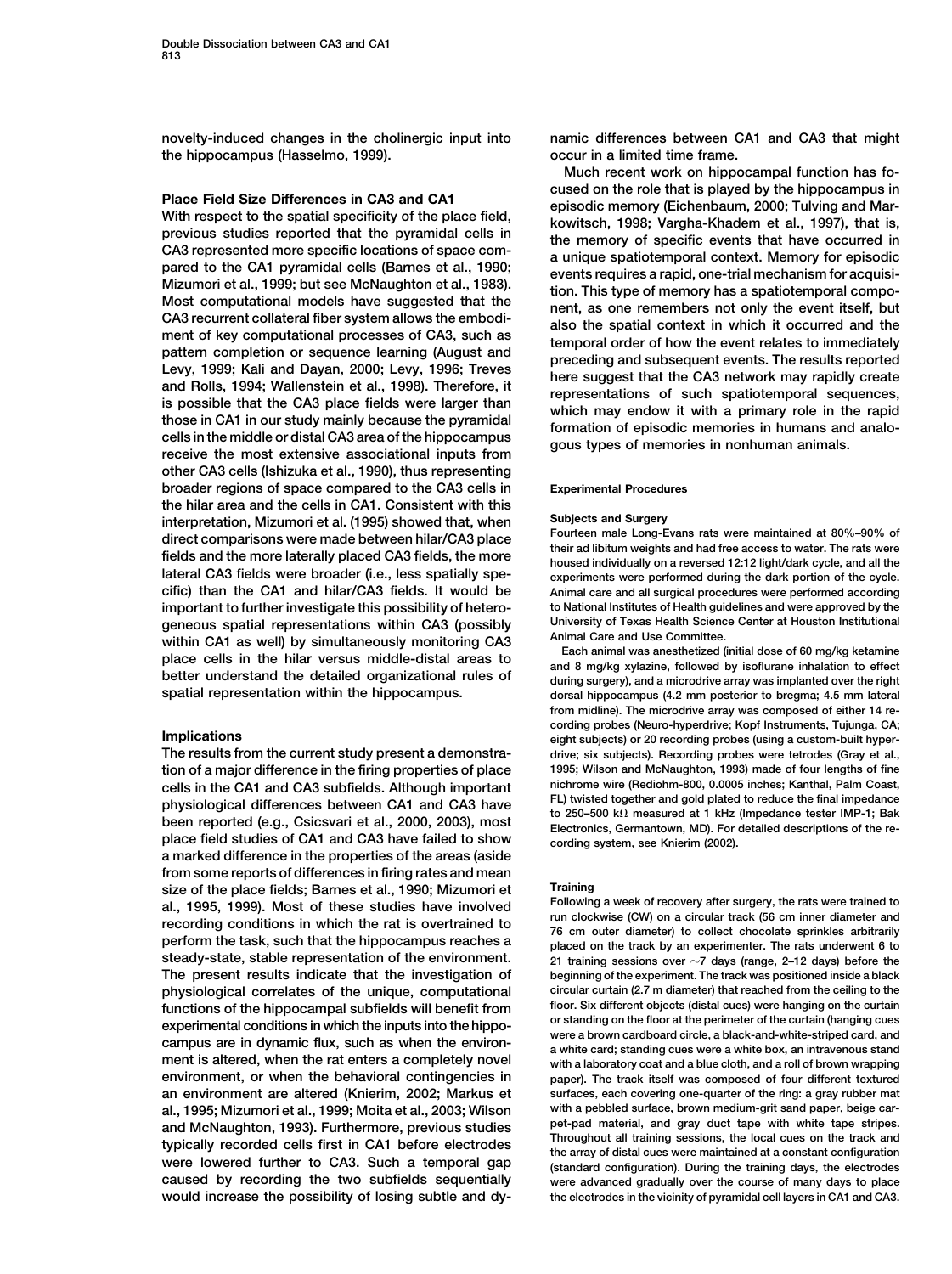**novelty-induced changes in the cholinergic input into namic differences between CA1 and CA3 that might the hippocampus (Hasselmo, 1999). occur in a limited time frame.**

**other CA3 cells (Ishizuka et al., 1990), thus representing broader regions of space compared to the CA3 cells in Experimental Procedures the hilar area and the cells in CA1. Consistent with this** interpretation, Mizumori et al. (1995) showed that, when<br>direct comparisons were made between hilar/CA3 place<br>fields and the more laterally placed CA3 fields, the more<br>housed individually on a reversed 12:12 light/dark cyc **lateral CA3 fields were broader (i.e., less spatially spe- experiments were performed during the dark portion of the cycle. important to further investigate this possibility of hetero- to National Institutes of Health guidelines and were approved by the geneous spatial representations within CA3 (possibly University of Texas Health Science Center at Houston Institutional** within CA1 as well) by simultaneously monitoring CA3<br>place cells in the hilar versus middle-distal areas to<br>better understand the detailed organizational rules of<br>spatial representation within the hippocampus.<br>spatial repr

**The results from the current study present a demonstra- drive; six subjects). Recording probes were tetrodes (Gray et al., tion of a major difference in the firing properties of place 1995; Wilson and McNaughton, 1993) made of four lengths of fine** cells in the CA1 and CA3 subfields. Although important pichrome wire (Rediohm-800, 0.0005 inches; Kanthal, Palm Coast,<br>physiological differences between CA1 and CA3 have<br>been reported (e.g., Csicsvari et al., 2000, 2003), **a marked difference in the properties of the areas (aside from some reports of differences in firing rates and mean size of the place fields; Barnes et al., 1990; Mizumori et Training** al., 1995, 1999). Most of these studies have involved<br>recording conditions in which the rat is overtrained to<br>perform the task, such that the hippocampus reaches a<br>steady-state, stable representation of the environment.<br>**The present results indicate that the investigation of beginning of the experiment. The track was positioned inside a black physiological correlates of the unique, computational circular curtain (2.7 m diameter) that reached from the ceiling to the** functions of the hippocampal subfields will benefit from<br>experimental conditions in which the inputs into the hippo-<br>campus are in dynamic flux, such as when the environ-<br>a white card; standing cues were a white-box, and i **ment is altered, when the rat enters a completely novel with a laboratory coat and a blue cloth, and a roll of brown wrapping environment, or when the behavioral contingencies in paper). The track itself was composed of four different textured an environment are altered (Knierim, 2002; Markus et surfaces, each covering one-quarter of the ring: a gray rubber mat al., 1995; Mizumori et al., 1999; Moita et al., 2003; Wilson with a pebbled surface, brown medium-grit sand paper, beige car**and McNaughton, 1993). Furthermore, previous studies<br>typically recorded cells first in CA1 before electrodes<br>were lowered further to CA3. Such a temporal gap<br>were lowered further to CA3. Such a temporal gap<br>the array of di **caused by recording the two subfields sequentially were advanced gradually over the course of many days to place would increase the possibility of losing subtle and dy- the electrodes in the vicinity of pyramidal cell layers in CA1 and CA3.**

**Much recent work on hippocampal function has fo-**Place Field Size Differences in CA3 and CA1<br>
With respect to the spatial specificity of the place field,<br>
wowitsch, 1998; Vargha-Khadem et al., 1997), that is,<br>
previous studies reported that the pyramidal cells in<br>
previo

Animal care and all surgical procedures were performed according

**spatial representation within the hippocampus. dorsal hippocampus (4.2 mm posterior to bregma; 4.5 mm lateral from midline). The microdrive array was composed of either 14 recording probes (Neuro-hyperdrive; Kopf Instruments, Tujunga, CA; Implications eight subjects) or 20 recording probes (using a custom-built hyper-**

**steady-state, stable representation of the environment. 21 training sessions over 7 days (range, 2–12 days) before the**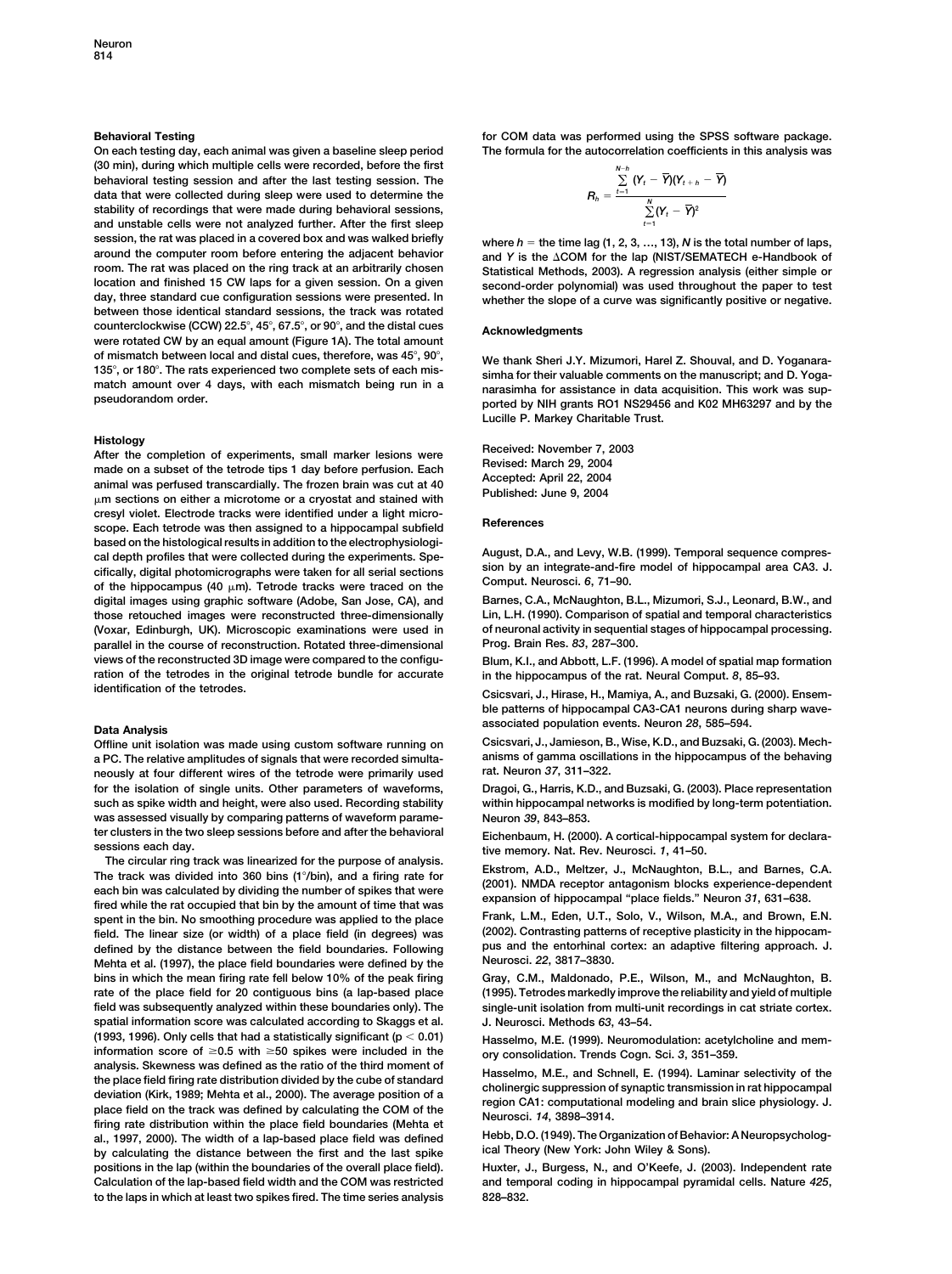**(30 min), during which multiple cells were recorded, before the first behavioral testing session and after the last testing session. The** data that were collected during sleep were used to determine the *Y***) stability of recordings that were made during behavioral sessions, <sup>2</sup> and unstable cells were not analyzed further. After the first sleep session, the rat was placed in a covered box and was walked briefly where** *h* **the time lag (1, 2, 3, …, 13),** *N* **is the total number of laps,** around the computer room before entering the adjacent behavior room. The rat was placed on the ring track at an arbitrarily chosen **between those identical standard sessions, the track was rotated counterclockwise (CCW) 22.5, 45, 67.5, or 90, and the distal cues Acknowledgments were rotated CW by an equal amount (Figure 1A). The total amount** of mismatch between local and distal cues, therefore, was 45°, 90°,<br>135°, or 180°. The rats experienced two complete sets of each mis-<br>match amount over 4 days, with each mismatch being run in a<br>pseudorandom order.<br>pseudor

**Histology**<br>
After the completion of experiments, small marker lesions were<br>
made on a subset of the tetrode tips 1 day before perfusion. Each<br>
animal was perfused transcardially. The frozen brain was cut at 40<br>  $\mu$ m sec **cresyl violet. Electrode tracks were identified under a light micro-**<br>**Scope. Each tetrode was then assigned to a hippocampal subfield References** based on the histological results in addition to the electrophysiologi-<br>
cal depth profiles that were collected during the experiments. Spe-<br>
cifically, digital photomicrographs were taken for all serial sections<br>
of the **digital images using graphic software (Adobe, San Jose, CA), and Barnes, C.A., McNaughton, B.L., Mizumori, S.J., Leonard, B.W., and those retouched images were reconstructed three-dimensionally Lin, L.H. (1990). Comparison of spatial and temporal characteristics (Voxar, Edinburgh, UK). Microscopic examinations were used in of neuronal activity in sequential stages of hippocampal processing. parallel in the course of reconstruction. Rotated three-dimensional Prog. Brain Res.** *83***, 287–300. views of the reconstructed 3D image were compared to the configu- Blum, K.I., and Abbott, L.F. (1996). A model of spatial map formation ration of the tetrodes in the original tetrode bundle for accurate in the hippocampus of the rat. Neural Comput.** *8***, 85–93.**

**a PC. The relative amplitudes of signals that were recorded simulta-** anisms of gamma oscilla<br>neously at four different wires of the tetrode were primarily used and **analyzing** of the hippocampus of the hippocampus of the **neously at four different wires of the tetrode were primarily used for the isolation of single units. Other parameters of waveforms, Dragoi, G., Harris, K.D., and Buzsaki, G. (2003). Place representation such as spike width and height, were also used. Recording stability within hippocampal networks is modified by long-term potentiation. was assessed visually by comparing patterns of waveform parame- Neuron** *39***, 843–853.** ter clusters in the two sleep sessions before and after the behavioral<br>sessions each day.<br>The circular ring track was linearized for the purpose of analysis.<br>The circular ring track was linearized for the purpose of analy

The track was divided into 360 bins (1°/bin), and a firing rate for<br>each bin was calculated by dividing the number of spikes that were<br>fired while the rat occupied that bin by the amount of time that was<br>specifical with th **Frank, L.M., Eden, U.T., Solo, V., Wilson, M.A., and Brown, E.N. spent in the bin. No smoothing procedure was applied to the place (2002). Contrasting patterns of receptive plasticity in the hippocam- field. The linear size (or width) of a place field (in degrees) was defined by the distance between the field boundaries. Following pus and the entorhinal cortex: defined by the place field houndaries were defined by the <b>Neurosci.** 22, 3817–3830. Mehta et al. (1997), the place field boundaries were defined by the **bins in which the mean firing rate fell below 10% of the peak firing Gray, C.M., Maldonado, P.E., Wilson, M., and McNaughton, B. rate of the place field for 20 contiguous bins (a lap-based place (1995). Tetrodes markedly improve the reliability and yield of multiple field was subsequently analyzed within these boundaries only). The single-unit isolation from multi-unit recordings in cat striate cortex. spatial information score was calculated according to Skaggs et al. J. Neurosci. Methods** *63***, 43–54. (1993, 1996). Only cells that had a statistically significant (p 0.01) Hasselmo, M.E. (1999). Neuromodulation: acetylcholine and meminformation score of 0.5 with 50 spikes were included in the ory consolidation. Trends Cogn. Sci.** *3***, 351–359.** Hasselmo, M.E., and Schnell, E. (1994). Laminar selectivity of the<br>
the place field firing rate distribution divided by the cube of standard<br>
deviation (Kirk, 1989; Mehta et al., 2000). The average position of a<br>
place fie **Hebb, D.O. (1949). The Organization of Behavior: A Neuropsycholog- al., 1997, 2000). The width of a lap-based place field was defined** by calculating the distance between the first and the last spike **positions in the lap (within the boundaries of the overall place field). Huxter, J., Burgess, N., and O'Keefe, J. (2003). Independent rate Calculation of the lap-based field width and the COM was restricted and temporal coding in hippocampal pyramidal cells. Nature** *425***, to the laps in which at least two spikes fired. The time series analysis 828–832.**

**Behavioral Testing for COM data was performed using the SPSS software package. On each testing day, each animal was given a baseline sleep period The formula for the autocorrelation coefficients in this analysis was**

$$
R_h = \frac{\sum\limits_{t=1}^{N-h} (Y_t - \overline{Y})(Y_{t+h} - \overline{Y})}{\sum\limits_{t=1}^{N} (Y_t - \overline{Y})^2}
$$

and Y is the  $\triangle$ COM for the lap (NIST/SEMATECH e-Handbook of **room. The rat was placed on the ring track at an arbitrarily chosen Statistical Methods, 2003). A regression analysis (either simple or location and finished 15 CW laps for a given session. On a given second-order polynomial) was used throughout the paper to test** whether the slope of a curve was significantly positive or negative.

**Lucille P. Markey Charitable Trust.**

**identification of the tetrodes. Csicsvari, J., Hirase, H., Mamiya, A., and Buzsaki, G. (2000). Ensemble patterns of hippocampal CA3-CA1 neurons during sharp wave-**

**associated population events. Neuron** *<sup>28</sup>***, 585–594. Data Analysis** Offline unit isolation was made using custom software running on CSICSVari, J., Jamieson, B., Wise, K.D., and Buzsaki, G. (2003). Mech-<br>A PC, The relative amplitudes of signals that were recorded simulta- anisms of gamma o